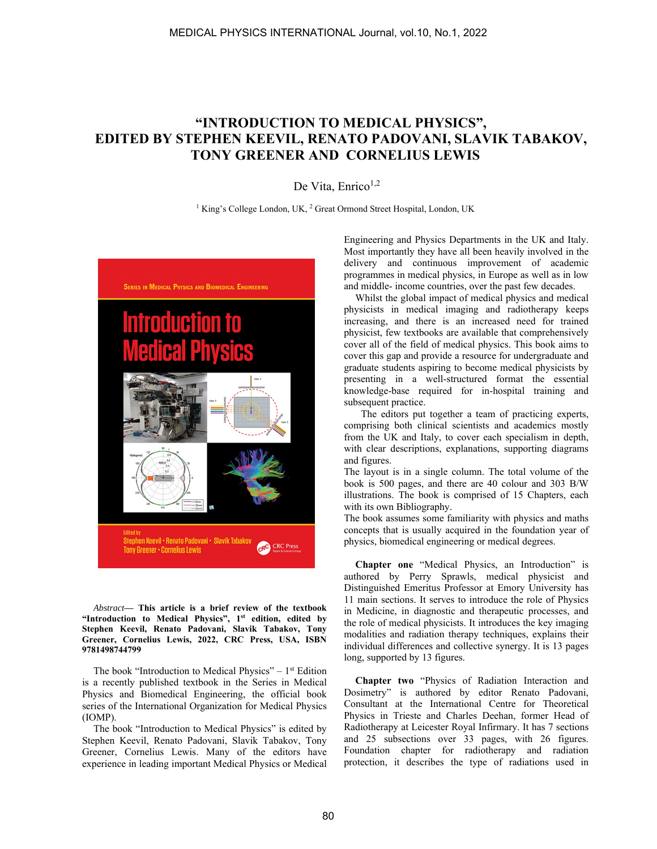## **"INTRODUCTION TO MEDICAL PHYSICS", EDITED BY STEPHEN KEEVIL, RENATO PADOVANI, SLAVIK TABAKOV, TONY GREENER AND CORNELIUS LEWIS**

De Vita, Enrico $1,2$ 

<sup>1</sup> King's College London, UK, <sup>2</sup> Great Ormond Street Hospital, London, UK



*Abstract***— This article is a brief review of the textbook**  "Introduction to Medical Physics", 1<sup>st</sup> edition, edited by **Stephen Keevil, Renato Padovani, Slavik Tabakov, Tony Greener, Cornelius Lewis, 2022, CRC Press, USA, ISBN 9781498744799** 

The book "Introduction to Medical Physics"  $-1$ <sup>st</sup> Edition is a recently published textbook in the Series in Medical Physics and Biomedical Engineering, the official book series of the International Organization for Medical Physics (IOMP).

The book "Introduction to Medical Physics" is edited by Stephen Keevil, Renato Padovani, Slavik Tabakov, Tony Greener, Cornelius Lewis. Many of the editors have experience in leading important Medical Physics or Medical Engineering and Physics Departments in the UK and Italy. Most importantly they have all been heavily involved in the delivery and continuous improvement of academic programmes in medical physics, in Europe as well as in low and middle- income countries, over the past few decades.

Whilst the global impact of medical physics and medical physicists in medical imaging and radiotherapy keeps increasing, and there is an increased need for trained physicist, few textbooks are available that comprehensively cover all of the field of medical physics. This book aims to cover this gap and provide a resource for undergraduate and graduate students aspiring to become medical physicists by presenting in a well-structured format the essential knowledge-base required for in-hospital training and subsequent practice.

 The editors put together a team of practicing experts, comprising both clinical scientists and academics mostly from the UK and Italy, to cover each specialism in depth, with clear descriptions, explanations, supporting diagrams and figures.

The layout is in a single column. The total volume of the book is 500 pages, and there are 40 colour and 303 B/W illustrations. The book is comprised of 15 Chapters, each with its own Bibliography.

The book assumes some familiarity with physics and maths concepts that is usually acquired in the foundation year of physics, biomedical engineering or medical degrees.

**Chapter one** "Medical Physics, an Introduction" is authored by Perry Sprawls, medical physicist and Distinguished Emeritus Professor at Emory University has 11 main sections. It serves to introduce the role of Physics in Medicine, in diagnostic and therapeutic processes, and the role of medical physicists. It introduces the key imaging modalities and radiation therapy techniques, explains their individual differences and collective synergy. It is 13 pages long, supported by 13 figures.

**Chapter two** "Physics of Radiation Interaction and Dosimetry" is authored by editor Renato Padovani, Consultant at the International Centre for Theoretical Physics in Trieste and Charles Deehan, former Head of Radiotherapy at Leicester Royal Infirmary. It has 7 sections and 25 subsections over 33 pages, with 26 figures. Foundation chapter for radiotherapy and radiation protection, it describes the type of radiations used in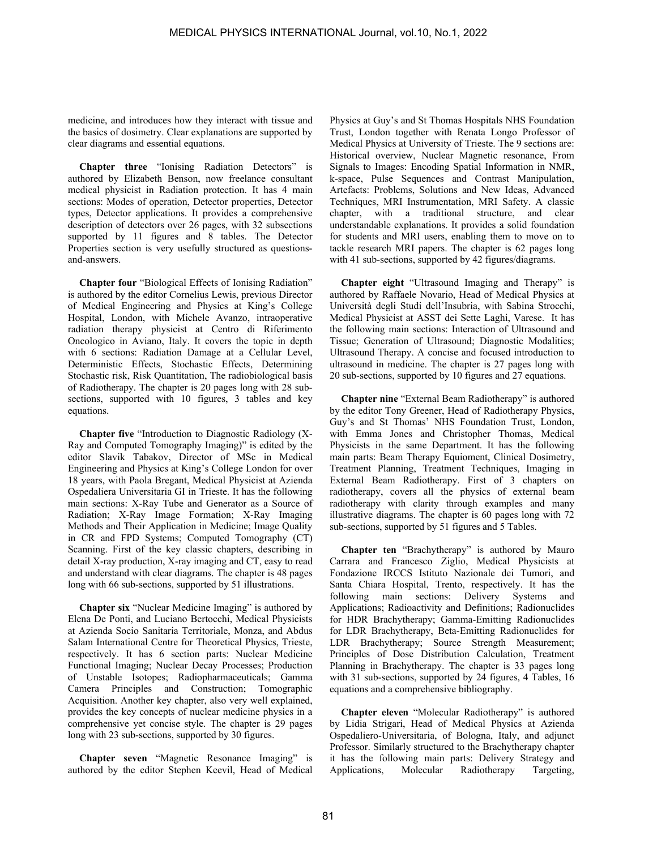medicine, and introduces how they interact with tissue and the basics of dosimetry. Clear explanations are supported by clear diagrams and essential equations.

**Chapter three** "Ionising Radiation Detectors" is authored by Elizabeth Benson, now freelance consultant medical physicist in Radiation protection. It has 4 main sections: Modes of operation, Detector properties, Detector types, Detector applications. It provides a comprehensive description of detectors over 26 pages, with 32 subsections supported by 11 figures and 8 tables. The Detector Properties section is very usefully structured as questionsand-answers.

**Chapter four** "Biological Effects of Ionising Radiation" is authored by the editor Cornelius Lewis, previous Director of Medical Engineering and Physics at King's College Hospital, London, with Michele Avanzo, intraoperative radiation therapy physicist at Centro di Riferimento Oncologico in Aviano, Italy. It covers the topic in depth with 6 sections: Radiation Damage at a Cellular Level, Deterministic Effects, Stochastic Effects, Determining Stochastic risk, Risk Quantitation, The radiobiological basis of Radiotherapy. The chapter is 20 pages long with 28 subsections, supported with 10 figures, 3 tables and key equations.

**Chapter five** "Introduction to Diagnostic Radiology (X-Ray and Computed Tomography Imaging)" is edited by the editor Slavik Tabakov, Director of MSc in Medical Engineering and Physics at King's College London for over 18 years, with Paola Bregant, Medical Physicist at Azienda Ospedaliera Universitaria GI in Trieste. It has the following main sections: X-Ray Tube and Generator as a Source of Radiation; X-Ray Image Formation; X-Ray Imaging Methods and Their Application in Medicine; Image Quality in CR and FPD Systems; Computed Tomography (CT) Scanning. First of the key classic chapters, describing in detail X-ray production, X-ray imaging and CT, easy to read and understand with clear diagrams*.* The chapter is 48 pages long with 66 sub-sections, supported by 51 illustrations.

**Chapter six** "Nuclear Medicine Imaging" is authored by Elena De Ponti, and Luciano Bertocchi, Medical Physicists at Azienda Socio Sanitaria Territoriale, Monza, and Abdus Salam International Centre for Theoretical Physics, Trieste, respectively. It has 6 section parts: Nuclear Medicine Functional Imaging; Nuclear Decay Processes; Production of Unstable Isotopes; Radiopharmaceuticals; Gamma Camera Principles and Construction; Tomographic Acquisition. Another key chapter, also very well explained, provides the key concepts of nuclear medicine physics in a comprehensive yet concise style. The chapter is 29 pages long with 23 sub-sections, supported by 30 figures.

**Chapter seven** "Magnetic Resonance Imaging" is authored by the editor Stephen Keevil, Head of Medical

Physics at Guy's and St Thomas Hospitals NHS Foundation Trust, London together with Renata Longo Professor of Medical Physics at University of Trieste. The 9 sections are: Historical overview, Nuclear Magnetic resonance, From Signals to Images: Encoding Spatial Information in NMR, k-space, Pulse Sequences and Contrast Manipulation, Artefacts: Problems, Solutions and New Ideas, Advanced Techniques, MRI Instrumentation, MRI Safety. A classic chapter, with a traditional structure, and clear understandable explanations. It provides a solid foundation for students and MRI users, enabling them to move on to tackle research MRI papers. The chapter is 62 pages long with 41 sub-sections, supported by 42 figures/diagrams.

**Chapter eight** "Ultrasound Imaging and Therapy" is authored by Raffaele Novario, Head of Medical Physics at Università degli Studi dell'Insubria, with Sabina Strocchi, Medical Physicist at ASST dei Sette Laghi, Varese. It has the following main sections: Interaction of Ultrasound and Tissue; Generation of Ultrasound; Diagnostic Modalities; Ultrasound Therapy. A concise and focused introduction to ultrasound in medicine. The chapter is 27 pages long with 20 sub-sections, supported by 10 figures and 27 equations.

**Chapter nine** "External Beam Radiotherapy" is authored by the editor Tony Greener, Head of Radiotherapy Physics, Guy's and St Thomas' NHS Foundation Trust, London, with Emma Jones and Christopher Thomas, Medical Physicists in the same Department. It has the following main parts: Beam Therapy Equioment, Clinical Dosimetry, Treatment Planning, Treatment Techniques, Imaging in External Beam Radiotherapy. First of 3 chapters on radiotherapy, covers all the physics of external beam radiotherapy with clarity through examples and many illustrative diagrams. The chapter is 60 pages long with 72 sub-sections, supported by 51 figures and 5 Tables.

**Chapter ten** "Brachytherapy" is authored by Mauro Carrara and Francesco Ziglio, Medical Physicists at Fondazione IRCCS Istituto Nazionale dei Tumori, and Santa Chiara Hospital, Trento, respectively. It has the following main sections: Delivery Systems and Applications; Radioactivity and Definitions; Radionuclides for HDR Brachytherapy; Gamma-Emitting Radionuclides for LDR Brachytherapy, Beta-Emitting Radionuclides for LDR Brachytherapy; Source Strength Measurement; Principles of Dose Distribution Calculation, Treatment Planning in Brachytherapy. The chapter is 33 pages long with 31 sub-sections, supported by 24 figures, 4 Tables, 16 equations and a comprehensive bibliography.

**Chapter eleven** "Molecular Radiotherapy" is authored by Lidia Strigari, Head of Medical Physics at Azienda Ospedaliero-Universitaria, of Bologna, Italy, and adjunct Professor. Similarly structured to the Brachytherapy chapter it has the following main parts: Delivery Strategy and Applications, Molecular Radiotherapy Targeting,